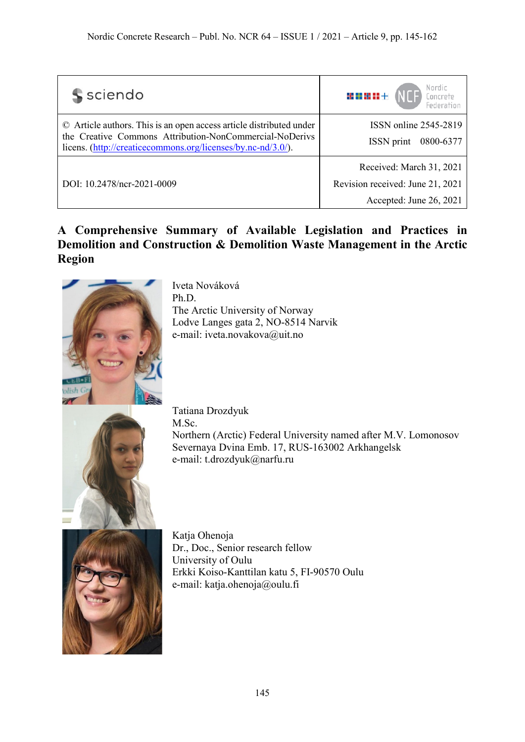| s sciendo                                                                                                                                                                                      | Nordic<br><b>HE DE HE DE</b> +<br>Concrete<br>Federation                                |
|------------------------------------------------------------------------------------------------------------------------------------------------------------------------------------------------|-----------------------------------------------------------------------------------------|
| © Article authors. This is an open access article distributed under<br>the Creative Commons Attribution-NonCommercial-NoDerivs<br>licens. (http://creaticecommons.org/licenses/by.nc-nd/3.0/). | ISSN online 2545-2819<br>ISSN print<br>0800-6377                                        |
| DOI: 10.2478/ncr-2021-0009                                                                                                                                                                     | Received: March 31, 2021<br>Revision received: June 21, 2021<br>Accepted: June 26, 2021 |

# **A Comprehensive Summary of Available Legislation and Practices in Demolition and Construction & Demolition Waste Management in the Arctic Region**



Iveta Nováková Ph.D. The Arctic University of Norway Lodve Langes gata 2, NO-8514 Narvik e-mail: iveta.novakova@uit.no



Tatiana Drozdyuk M.Sc. Northern (Arctic) Federal University named after M.V. Lomonosov Severnaya Dvina Emb. 17, RUS-163002 Arkhangelsk e-mail: t.drozdyuk@narfu.ru



Katja Ohenoja Dr., Doc., Senior research fellow University of Oulu Erkki Koiso-Kanttilan katu 5, FI-90570 Oulu e-mail: katja.ohenoja@oulu.fi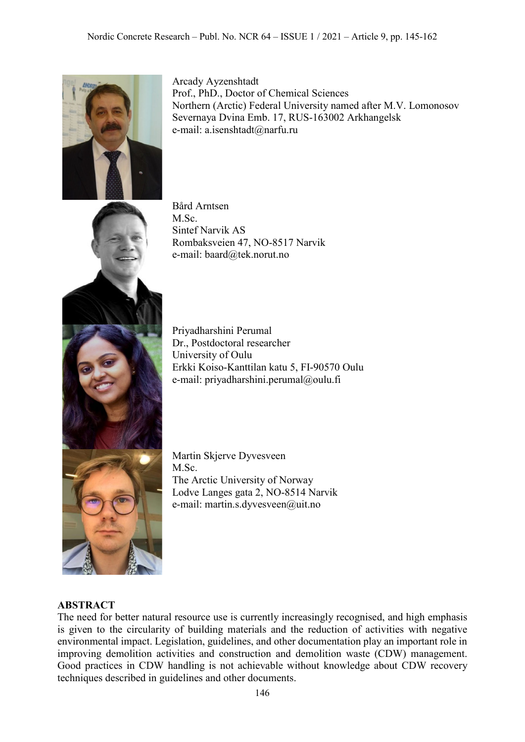

Arcady Ayzenshtadt Prof., PhD., Doctor of Chemical Sciences Northern (Arctic) Federal University named after M.V. Lomonosov Severnaya Dvina Emb. 17, RUS-163002 Arkhangelsk e-mail: a.isenshtadt@narfu.ru

Bård Arntsen M.Sc. Sintef Narvik AS Rombaksveien 47, NO-8517 Narvik e-mail: baard@tek.norut.no

Priyadharshini Perumal Dr., Postdoctoral researcher University of Oulu Erkki Koiso-Kanttilan katu 5, FI-90570 Oulu e-mail: priyadharshini.perumal@oulu.fi

Martin Skjerve Dyvesveen M.Sc. The Arctic University of Norway Lodve Langes gata 2, NO-8514 Narvik e-mail: martin.s.dyvesveen@uit.no

### **ABSTRACT**

The need for better natural resource use is currently increasingly recognised, and high emphasis is given to the circularity of building materials and the reduction of activities with negative environmental impact. Legislation, guidelines, and other documentation play an important role in improving demolition activities and construction and demolition waste (CDW) management. Good practices in CDW handling is not achievable without knowledge about CDW recovery techniques described in guidelines and other documents.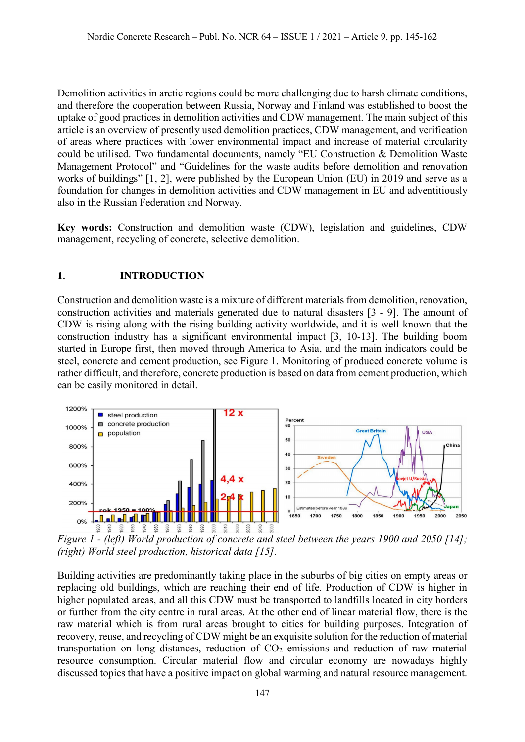Demolition activities in arctic regions could be more challenging due to harsh climate conditions, and therefore the cooperation between Russia, Norway and Finland was established to boost the uptake of good practices in demolition activities and CDW management. The main subject of this article is an overview of presently used demolition practices, CDW management, and verification of areas where practices with lower environmental impact and increase of material circularity could be utilised. Two fundamental documents, namely "EU Construction & Demolition Waste Management Protocol" and "Guidelines for the waste audits before demolition and renovation works of buildings" [1, 2], were published by the European Union (EU) in 2019 and serve as a foundation for changes in demolition activities and CDW management in EU and adventitiously also in the Russian Federation and Norway.

**Key words:** Construction and demolition waste (CDW), legislation and guidelines, CDW management, recycling of concrete, selective demolition.

### **1. INTRODUCTION**

Construction and demolition waste is a mixture of different materials from demolition, renovation, construction activities and materials generated due to natural disasters [3 - 9]. The amount of CDW is rising along with the rising building activity worldwide, and it is well-known that the construction industry has a significant environmental impact [3, 10-13]. The building boom started in Europe first, then moved through America to Asia, and the main indicators could be steel, concrete and cement production, see Figure 1. Monitoring of produced concrete volume is rather difficult, and therefore, concrete production is based on data from cement production, which can be easily monitored in detail.



*Figure 1 - (left) World production of concrete and steel between the years 1900 and 2050 [14]; (right) World steel production, historical data [15].*

Building activities are predominantly taking place in the suburbs of big cities on empty areas or replacing old buildings, which are reaching their end of life. Production of CDW is higher in higher populated areas, and all this CDW must be transported to landfills located in city borders or further from the city centre in rural areas. At the other end of linear material flow, there is the raw material which is from rural areas brought to cities for building purposes. Integration of recovery, reuse, and recycling of CDW might be an exquisite solution for the reduction of material transportation on long distances, reduction of  $CO<sub>2</sub>$  emissions and reduction of raw material resource consumption. Circular material flow and circular economy are nowadays highly discussed topics that have a positive impact on global warming and natural resource management.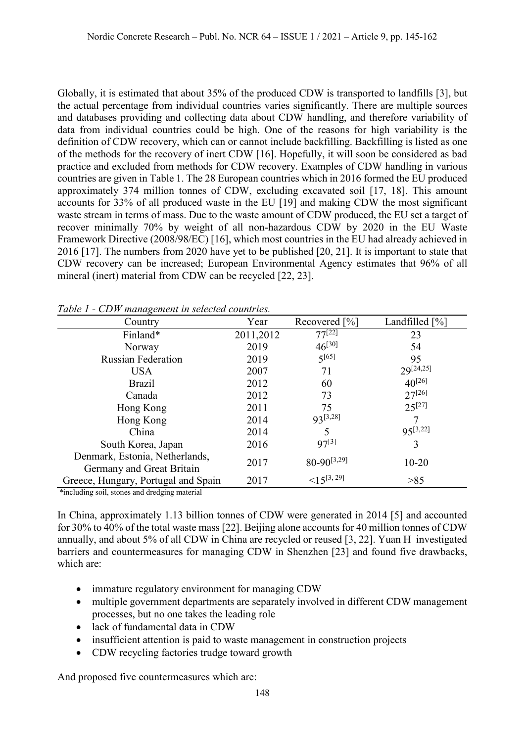Globally, it is estimated that about 35% of the produced CDW is transported to landfills [3], but the actual percentage from individual countries varies significantly. There are multiple sources and databases providing and collecting data about CDW handling, and therefore variability of data from individual countries could be high. One of the reasons for high variability is the definition of CDW recovery, which can or cannot include backfilling. Backfilling is listed as one of the methods for the recovery of inert CDW [16]. Hopefully, it will soon be considered as bad practice and excluded from methods for CDW recovery. Examples of CDW handling in various countries are given in Table 1. The 28 European countries which in 2016 formed the EU produced approximately 374 million tonnes of CDW, excluding excavated soil [17, 18]. This amount accounts for 33% of all produced waste in the EU [19] and making CDW the most significant waste stream in terms of mass. Due to the waste amount of CDW produced, the EU set a target of recover minimally 70% by weight of all non-hazardous CDW by 2020 in the EU Waste Framework Directive (2008/98/EC) [16], which most countries in the EU had already achieved in 2016 [17]. The numbers from 2020 have yet to be published [20, 21]. It is important to state that CDW recovery can be increased; European Environmental Agency estimates that 96% of all mineral (inert) material from CDW can be recycled [22, 23].

| Country                             | Year      | Recovered [%]    | Landfilled [%] |
|-------------------------------------|-----------|------------------|----------------|
| Finland*                            | 2011,2012 | $77^{[22]}$      | 23             |
| Norway                              | 2019      | $46^{[30]}$      | 54             |
| <b>Russian Federation</b>           | 2019      | $5^{[65]}$       | 95             |
| <b>USA</b>                          | 2007      | 71               | $29^{[24,25]}$ |
| <b>Brazil</b>                       | 2012      | 60               | $40^{[26]}$    |
| Canada                              | 2012      | 73               | $27^{[26]}$    |
| Hong Kong                           | 2011      | 75               | $25^{[27]}$    |
| Hong Kong                           | 2014      | Q3[3,28]         |                |
| China                               | 2014      |                  | $95^{[3,22]}$  |
| South Korea, Japan                  | 2016      | $97^{[3]}$       | 3              |
| Denmark, Estonia, Netherlands,      |           | $80-90^{[3,29]}$ |                |
| Germany and Great Britain           | 2017      |                  | $10 - 20$      |
| Greece, Hungary, Portugal and Spain | 2017      | $<15^{[3, 29]}$  | >85            |

*Table 1 - CDW management in selected countries.*

\*including soil, stones and dredging material

In China, approximately 1.13 billion tonnes of CDW were generated in 2014 [5] and accounted for 30% to 40% of the total waste mass [22]. Beijing alone accounts for 40 million tonnes of CDW annually, and about 5% of all CDW in China are recycled or reused [3, 22]. Yuan H investigated barriers and countermeasures for managing CDW in Shenzhen [23] and found five drawbacks, which are:

- immature regulatory environment for managing CDW
- multiple government departments are separately involved in different CDW management processes, but no one takes the leading role
- lack of fundamental data in CDW
- insufficient attention is paid to waste management in construction projects
- CDW recycling factories trudge toward growth

And proposed five countermeasures which are: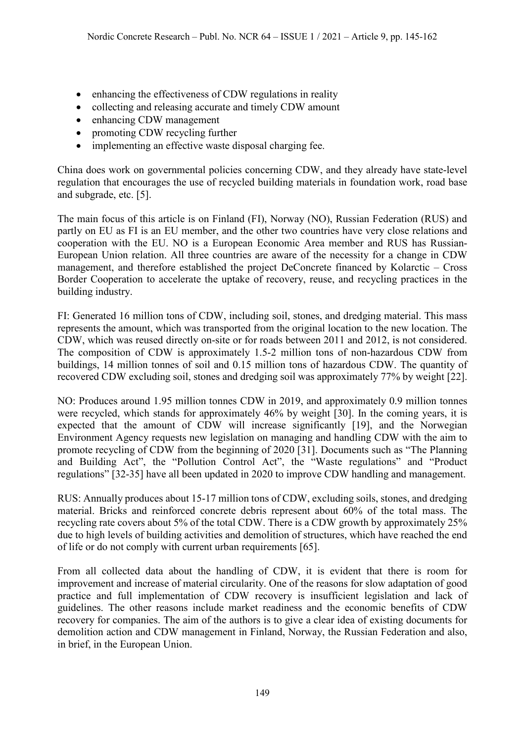- enhancing the effectiveness of CDW regulations in reality
- collecting and releasing accurate and timely CDW amount
- enhancing CDW management
- promoting CDW recycling further
- implementing an effective waste disposal charging fee.

China does work on governmental policies concerning CDW, and they already have state-level regulation that encourages the use of recycled building materials in foundation work, road base and subgrade, etc. [5].

The main focus of this article is on Finland (FI), Norway (NO), Russian Federation (RUS) and partly on EU as FI is an EU member, and the other two countries have very close relations and cooperation with the EU. NO is a European Economic Area member and RUS has Russian-European Union relation. All three countries are aware of the necessity for a change in CDW management, and therefore established the project DeConcrete financed by Kolarctic – Cross Border Cooperation to accelerate the uptake of recovery, reuse, and recycling practices in the building industry.

FI: Generated 16 million tons of CDW, including soil, stones, and dredging material. This mass represents the amount, which was transported from the original location to the new location. The CDW, which was reused directly on-site or for roads between 2011 and 2012, is not considered. The composition of CDW is approximately 1.5-2 million tons of non-hazardous CDW from buildings, 14 million tonnes of soil and 0.15 million tons of hazardous CDW. The quantity of recovered CDW excluding soil, stones and dredging soil was approximately 77% by weight [22].

NO: Produces around 1.95 million tonnes CDW in 2019, and approximately 0.9 million tonnes were recycled, which stands for approximately 46% by weight [30]. In the coming years, it is expected that the amount of CDW will increase significantly [19], and the Norwegian Environment Agency requests new legislation on managing and handling CDW with the aim to promote recycling of CDW from the beginning of 2020 [31]. Documents such as "The Planning and Building Act", the "Pollution Control Act", the "Waste regulations" and "Product regulations" [32-35] have all been updated in 2020 to improve CDW handling and management.

RUS: Annually produces about 15-17 million tons of CDW, excluding soils, stones, and dredging material. Bricks and reinforced concrete debris represent about 60% of the total mass. The recycling rate covers about 5% of the total CDW. There is a CDW growth by approximately 25% due to high levels of building activities and demolition of structures, which have reached the end of life or do not comply with current urban requirements [65].

From all collected data about the handling of CDW, it is evident that there is room for improvement and increase of material circularity. One of the reasons for slow adaptation of good practice and full implementation of CDW recovery is insufficient legislation and lack of guidelines. The other reasons include market readiness and the economic benefits of CDW recovery for companies. The aim of the authors is to give a clear idea of existing documents for demolition action and CDW management in Finland, Norway, the Russian Federation and also, in brief, in the European Union.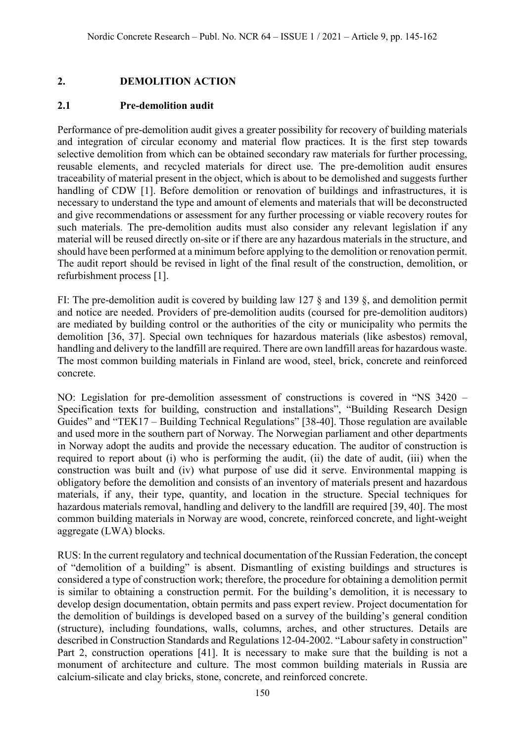## **2. DEMOLITION ACTION**

### **2.1 Pre-demolition audit**

Performance of pre-demolition audit gives a greater possibility for recovery of building materials and integration of circular economy and material flow practices. It is the first step towards selective demolition from which can be obtained secondary raw materials for further processing, reusable elements, and recycled materials for direct use. The pre-demolition audit ensures traceability of material present in the object, which is about to be demolished and suggests further handling of CDW [1]. Before demolition or renovation of buildings and infrastructures, it is necessary to understand the type and amount of elements and materials that will be deconstructed and give recommendations or assessment for any further processing or viable recovery routes for such materials. The pre-demolition audits must also consider any relevant legislation if any material will be reused directly on-site or if there are any hazardous materials in the structure, and should have been performed at a minimum before applying to the demolition or renovation permit. The audit report should be revised in light of the final result of the construction, demolition, or refurbishment process [1].

FI: The pre-demolition audit is covered by building law 127 § and 139 §, and demolition permit and notice are needed. Providers of pre-demolition audits (coursed for pre-demolition auditors) are mediated by building control or the authorities of the city or municipality who permits the demolition [36, 37]. Special own techniques for hazardous materials (like asbestos) removal, handling and delivery to the landfill are required. There are own landfill areas for hazardous waste. The most common building materials in Finland are wood, steel, brick, concrete and reinforced concrete.

NO: Legislation for pre-demolition assessment of constructions is covered in "NS 3420 – Specification texts for building, construction and installations", "Building Research Design Guides" and "TEK17 – Building Technical Regulations" [38-40]. Those regulation are available and used more in the southern part of Norway. The Norwegian parliament and other departments in Norway adopt the audits and provide the necessary education. The auditor of construction is required to report about (i) who is performing the audit, (ii) the date of audit, (iii) when the construction was built and (iv) what purpose of use did it serve. Environmental mapping is obligatory before the demolition and consists of an inventory of materials present and hazardous materials, if any, their type, quantity, and location in the structure. Special techniques for hazardous materials removal, handling and delivery to the landfill are required [39, 40]. The most common building materials in Norway are wood, concrete, reinforced concrete, and light-weight aggregate (LWA) blocks.

RUS: In the current regulatory and technical documentation of the Russian Federation, the concept of "demolition of a building" is absent. Dismantling of existing buildings and structures is considered a type of construction work; therefore, the procedure for obtaining a demolition permit is similar to obtaining a construction permit. For the building's demolition, it is necessary to develop design documentation, obtain permits and pass expert review. Project documentation for the demolition of buildings is developed based on a survey of the building's general condition (structure), including foundations, walls, columns, arches, and other structures. Details are described in Construction Standards and Regulations 12-04-2002. "Labour safety in construction" Part 2, construction operations [41]. It is necessary to make sure that the building is not a monument of architecture and culture. The most common building materials in Russia are calcium-silicate and clay bricks, stone, concrete, and reinforced concrete.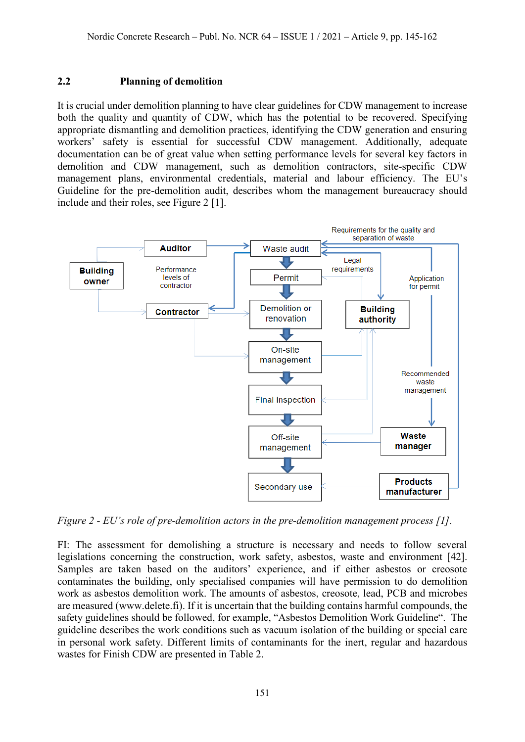### **2.2 Planning of demolition**

It is crucial under demolition planning to have clear guidelines for CDW management to increase both the quality and quantity of CDW, which has the potential to be recovered. Specifying appropriate dismantling and demolition practices, identifying the CDW generation and ensuring workers' safety is essential for successful CDW management. Additionally, adequate documentation can be of great value when setting performance levels for several key factors in demolition and CDW management, such as demolition contractors, site-specific CDW management plans, environmental credentials, material and labour efficiency. The EU's Guideline for the pre-demolition audit, describes whom the management bureaucracy should include and their roles, see Figure 2 [1].



*Figure 2 - EU's role of pre-demolition actors in the pre-demolition management process [1].*

FI: The assessment for demolishing a structure is necessary and needs to follow several legislations concerning the construction, work safety, asbestos, waste and environment [42]. Samples are taken based on the auditors' experience, and if either asbestos or creosote contaminates the building, only specialised companies will have permission to do demolition work as asbestos demolition work. The amounts of asbestos, creosote, lead, PCB and microbes are measured [\(www.delete.fi\)](http://www.delete.fi/). If it is uncertain that the building contains harmful compounds, the safety guidelines should be followed, for example, "Asbestos Demolition Work Guideline". The guideline describes the work conditions such as vacuum isolation of the building or special care in personal work safety. Different limits of contaminants for the inert, regular and hazardous wastes for Finish CDW are presented in Table 2.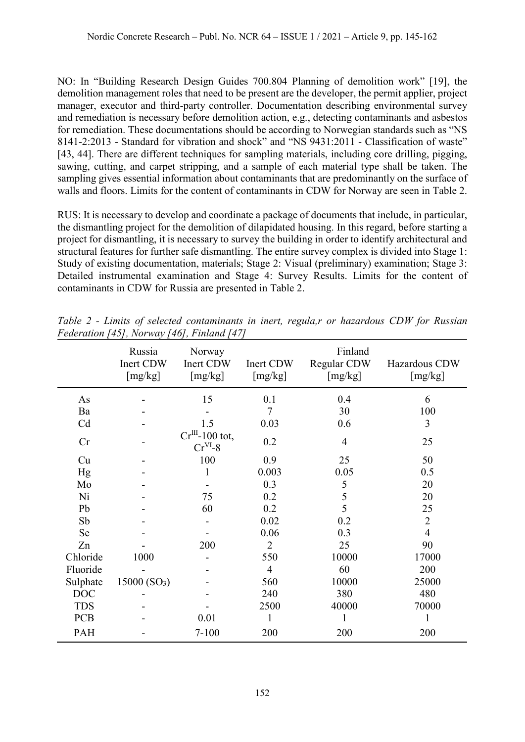NO: In "Building Research Design Guides 700.804 Planning of demolition work" [19], the demolition management roles that need to be present are the developer, the permit applier, project manager, executor and third-party controller. Documentation describing environmental survey and remediation is necessary before demolition action, e.g., detecting contaminants and asbestos for remediation. These documentations should be according to Norwegian standards such as "NS 8141-2:2013 - Standard for vibration and shock" and "NS 9431:2011 - Classification of waste" [43, 44]. There are different techniques for sampling materials, including core drilling, pigging, sawing, cutting, and carpet stripping, and a sample of each material type shall be taken. The sampling gives essential information about contaminants that are predominantly on the surface of walls and floors. Limits for the content of contaminants in CDW for Norway are seen in Table 2.

RUS: It is necessary to develop and coordinate a package of documents that include, in particular, the dismantling project for the demolition of dilapidated housing. In this regard, before starting a project for dismantling, it is necessary to survey the building in order to identify architectural and structural features for further safe dismantling. The entire survey complex is divided into Stage 1: Study of existing documentation, materials; Stage 2: Visual (preliminary) examination; Stage 3: Detailed instrumental examination and Stage 4: Survey Results. Limits for the content of contaminants in CDW for Russia are presented in Table 2.

|            | Russia<br>Inert CDW<br>[mg/kg] | Norway<br>Inert CDW<br>[mg/kg]   | Inert CDW<br>[mg/kg] | Finland<br>Regular CDW<br>[mg/kg] | Hazardous CDW<br>[mg/kg] |
|------------|--------------------------------|----------------------------------|----------------------|-----------------------------------|--------------------------|
| As         |                                | 15                               | 0.1                  | 0.4                               | 6                        |
| Ba         |                                |                                  | $\tau$               | 30                                | 100                      |
| Cd         |                                | 1.5                              | 0.03                 | 0.6                               | 3                        |
| Cr         |                                | $Cr^{III}$ -100 tot,<br>$CrVI-8$ | 0.2                  | 4                                 | 25                       |
| Cu         |                                | 100                              | 0.9                  | 25                                | 50                       |
| Hg         |                                | 1                                | 0.003                | 0.05                              | 0.5                      |
| Mo         |                                |                                  | 0.3                  | 5                                 | 20                       |
| Ni         |                                | 75                               | 0.2                  | 5                                 | 20                       |
| Pb         |                                | 60                               | 0.2                  | 5                                 | 25                       |
| Sb         |                                |                                  | 0.02                 | 0.2                               | $\overline{2}$           |
| Se         |                                |                                  | 0.06                 | 0.3                               | $\overline{4}$           |
| Zn         |                                | 200                              | $\overline{2}$       | 25                                | 90                       |
| Chloride   | 1000                           |                                  | 550                  | 10000                             | 17000                    |
| Fluoride   |                                |                                  | $\overline{4}$       | 60                                | 200                      |
| Sulphate   | 15000(SO <sub>3</sub> )        |                                  | 560                  | 10000                             | 25000                    |
| <b>DOC</b> |                                |                                  | 240                  | 380                               | 480                      |
| <b>TDS</b> |                                |                                  | 2500                 | 40000                             | 70000                    |
| <b>PCB</b> |                                | 0.01                             | 1                    | 1                                 |                          |
| PAH        |                                | $7 - 100$                        | 200                  | 200                               | 200                      |

*Table 2 - Limits of selected contaminants in inert, regula,r or hazardous CDW for Russian Federation [45], Norway [46], Finland [47]*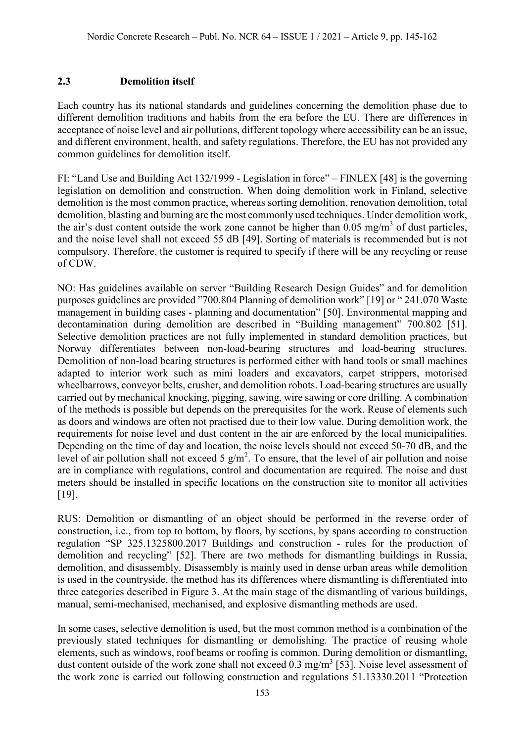### **2.3 Demolition itself**

Each country has its national standards and guidelines concerning the demolition phase due to different demolition traditions and habits from the era before the EU. There are differences in acceptance of noise level and air pollutions, different topology where accessibility can be an issue, and different environment, health, and safety regulations. Therefore, the EU has not provided any common guidelines for demolition itself.

FI: "Land Use and Building Act 132/1999 - Legislation in force" – FINLEX [48] is the governing legislation on demolition and construction. When doing demolition work in Finland, selective demolition is the most common practice, whereas sorting demolition, renovation demolition, total demolition, blasting and burning are the most commonly used techniques. Under demolition work, the air's dust content outside the work zone cannot be higher than  $0.05 \text{ mg/m}^3$  of dust particles, and the noise level shall not exceed 55 dB [49]. Sorting of materials is recommended but is not compulsory. Therefore, the customer is required to specify if there will be any recycling or reuse of CDW.

NO: Has guidelines available on server "Building Research Design Guides" and for demolition purposes guidelines are provided "700.804 Planning of demolition work" [19] or " 241.070 Waste management in building cases - planning and documentation" [50]. Environmental mapping and decontamination during demolition are described in "Building management" 700.802 [51]. Selective demolition practices are not fully implemented in standard demolition practices, but Norway differentiates between non-load-bearing structures and load-bearing structures. Demolition of non-load bearing structures is performed either with hand tools or small machines adapted to interior work such as mini loaders and excavators, carpet strippers, motorised wheelbarrows, conveyor belts, crusher, and demolition robots. Load-bearing structures are usually carried out by mechanical knocking, pigging, sawing, wire sawing or core drilling. A combination of the methods is possible but depends on the prerequisites for the work. Reuse of elements such as doors and windows are often not practised due to their low value. During demolition work, the requirements for noise level and dust content in the air are enforced by the local municipalities. Depending on the time of day and location, the noise levels should not exceed 50-70 dB, and the level of air pollution shall not exceed 5  $g/m^2$ . To ensure, that the level of air pollution and noise are in compliance with regulations, control and documentation are required. The noise and dust meters should be installed in specific locations on the construction site to monitor all activities [19].

RUS: Demolition or dismantling of an object should be performed in the reverse order of construction, i.e., from top to bottom, by floors, by sections, by spans according to construction regulation "SP 325.1325800.2017 Buildings and construction - rules for the production of demolition and recycling" [52]. There are two methods for dismantling buildings in Russia, demolition, and disassembly. Disassembly is mainly used in dense urban areas while demolition is used in the countryside, the method has its differences where dismantling is differentiated into three categories described in Figure 3. At the main stage of the dismantling of various buildings, manual, semi-mechanised, mechanised, and explosive dismantling methods are used.

In some cases, selective demolition is used, but the most common method is a combination of the previously stated techniques for dismantling or demolishing. The practice of reusing whole elements, such as windows, roof beams or roofing is common. During demolition or dismantling, dust content outside of the work zone shall not exceed  $0.3 \text{ mg/m}^3$  [53]. Noise level assessment of the work zone is carried out following construction and regulations 51.13330.2011 "Protection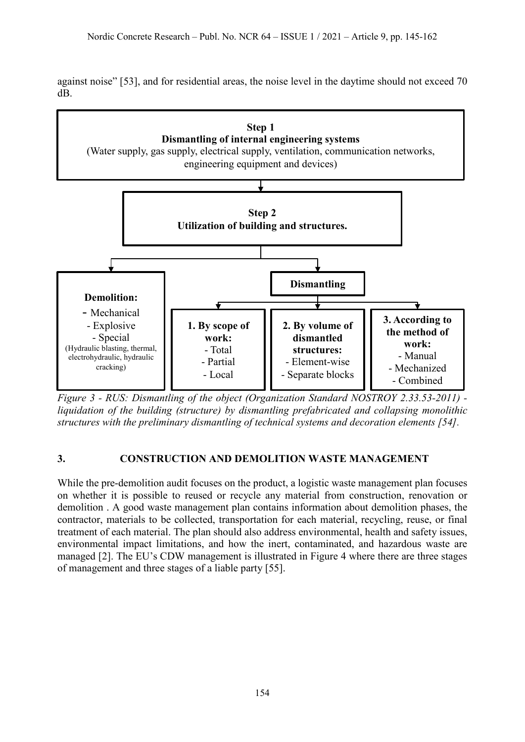against noise" [53], and for residential areas, the noise level in the daytime should not exceed 70 dB.



*Figure 3 - RUS: Dismantling of the object (Organization Standard NOSTROY 2.33.53-2011) liquidation of the building (structure) by dismantling prefabricated and collapsing monolithic structures with the preliminary dismantling of technical systems and decoration elements [54].*

# **3. CONSTRUCTION AND DEMOLITION WASTE MANAGEMENT**

While the pre-demolition audit focuses on the product, a logistic waste management plan focuses on whether it is possible to reused or recycle any material from construction, renovation or demolition . A good waste management plan contains information about demolition phases, the contractor, materials to be collected, transportation for each material, recycling, reuse, or final treatment of each material. The plan should also address environmental, health and safety issues, environmental impact limitations, and how the inert, contaminated, and hazardous waste are managed [2]. The EU's CDW management is illustrated in Figure 4 where there are three stages of management and three stages of a liable party [55].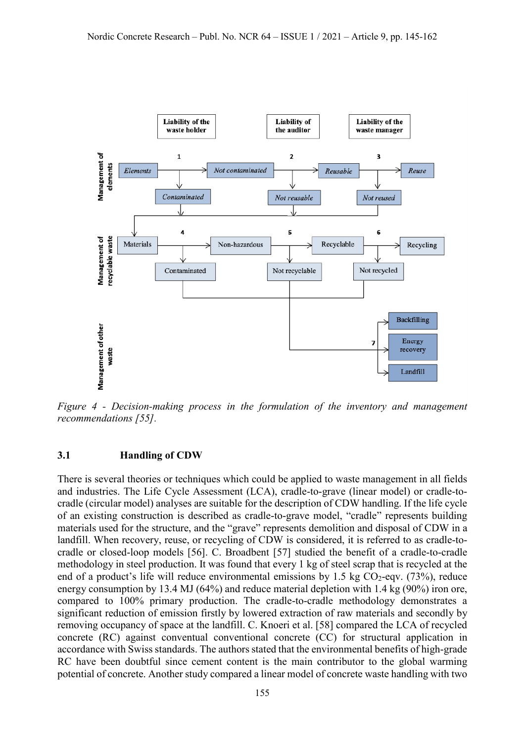

*Figure 4 - Decision-making process in the formulation of the inventory and management recommendations [55].*

#### **3.1 Handling of CDW**

There is several theories or techniques which could be applied to waste management in all fields and industries. The Life Cycle Assessment (LCA), cradle-to-grave (linear model) or cradle-tocradle (circular model) analyses are suitable for the description of CDW handling. If the life cycle of an existing construction is described as cradle-to-grave model, "cradle" represents building materials used for the structure, and the "grave" represents demolition and disposal of CDW in a landfill. When recovery, reuse, or recycling of CDW is considered, it is referred to as cradle-tocradle or closed-loop models [56]. C. Broadbent [57] studied the benefit of a cradle-to-cradle methodology in steel production. It was found that every 1 kg of steel scrap that is recycled at the end of a product's life will reduce environmental emissions by 1.5 kg  $CO<sub>2</sub>$ -eqv. (73%), reduce energy consumption by 13.4 MJ (64%) and reduce material depletion with 1.4 kg (90%) iron ore, compared to 100% primary production. The cradle-to-cradle methodology demonstrates a significant reduction of emission firstly by lowered extraction of raw materials and secondly by removing occupancy of space at the landfill. C. Knoeri et al. [58] compared the LCA of recycled concrete (RC) against conventual conventional concrete (CC) for structural application in accordance with Swiss standards. The authors stated that the environmental benefits of high-grade RC have been doubtful since cement content is the main contributor to the global warming potential of concrete. Another study compared a linear model of concrete waste handling with two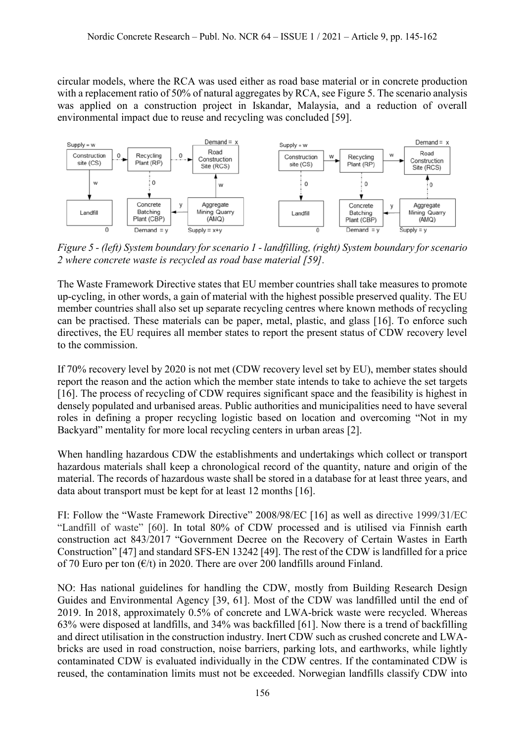circular models, where the RCA was used either as road base material or in concrete production with a replacement ratio of 50% of natural aggregates by RCA, see Figure 5. The scenario analysis was applied on a construction project in Iskandar, Malaysia, and a reduction of overall environmental impact due to reuse and recycling was concluded [59].



*Figure 5 - (left) System boundary for scenario 1 - landfilling, (right) System boundary for scenario 2 where concrete waste is recycled as road base material [59].*

The Waste Framework Directive states that EU member countries shall take measures to promote up-cycling, in other words, a gain of material with the highest possible preserved quality. The EU member countries shall also set up separate recycling centres where known methods of recycling can be practised. These materials can be paper, metal, plastic, and glass [16]. To enforce such directives, the EU requires all member states to report the present status of CDW recovery level to the commission.

If 70% recovery level by 2020 is not met (CDW recovery level set by EU), member states should report the reason and the action which the member state intends to take to achieve the set targets [16]. The process of recycling of CDW requires significant space and the feasibility is highest in densely populated and urbanised areas. Public authorities and municipalities need to have several roles in defining a proper recycling logistic based on location and overcoming "Not in my Backyard" mentality for more local recycling centers in urban areas [2].

When handling hazardous CDW the establishments and undertakings which collect or transport hazardous materials shall keep a chronological record of the quantity, nature and origin of the material. The records of hazardous waste shall be stored in a database for at least three years, and data about transport must be kept for at least 12 months [16].

FI: Follow the "Waste Framework Directive" 2008/98/EC [16] as well as directive 1999/31/EC "Landfill of waste" [60]. In total 80% of CDW processed and is utilised via Finnish earth construction act 843/2017 "Government Decree on the Recovery of Certain Wastes in Earth Construction" [47] and standard SFS-EN 13242 [49]. The rest of the CDW is landfilled for a price of 70 Euro per ton  $(\epsilon/t)$  in 2020. There are over 200 landfills around Finland.

NO: Has national guidelines for handling the CDW, mostly from Building Research Design Guides and Environmental Agency [39, 61]. Most of the CDW was landfilled until the end of 2019. In 2018, approximately 0.5% of concrete and LWA-brick waste were recycled. Whereas 63% were disposed at landfills, and 34% was backfilled [61]. Now there is a trend of backfilling and direct utilisation in the construction industry. Inert CDW such as crushed concrete and LWAbricks are used in road construction, noise barriers, parking lots, and earthworks, while lightly contaminated CDW is evaluated individually in the CDW centres. If the contaminated CDW is reused, the contamination limits must not be exceeded. Norwegian landfills classify CDW into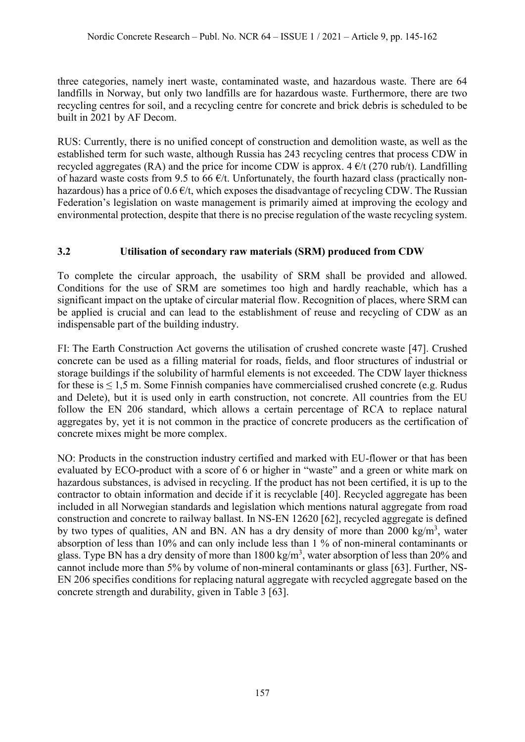three categories, namely inert waste, contaminated waste, and hazardous waste. There are 64 landfills in Norway, but only two landfills are for hazardous waste. Furthermore, there are two recycling centres for soil, and a recycling centre for concrete and brick debris is scheduled to be built in 2021 by AF Decom.

RUS: Currently, there is no unified concept of construction and demolition waste, as well as the established term for such waste, although Russia has 243 recycling centres that process CDW in recycled aggregates (RA) and the price for income CDW is approx.  $4 \frac{\epsilon}{t}$  (270 rub/t). Landfilling of hazard waste costs from 9.5 to 66  $\epsilon/t$ . Unfortunately, the fourth hazard class (practically nonhazardous) has a price of  $0.6 \, \epsilon/t$ , which exposes the disadvantage of recycling CDW. The Russian Federation's legislation on waste management is primarily aimed at improving the ecology and environmental protection, despite that there is no precise regulation of the waste recycling system.

# **3.2 Utilisation of secondary raw materials (SRM) produced from CDW**

To complete the circular approach, the usability of SRM shall be provided and allowed. Conditions for the use of SRM are sometimes too high and hardly reachable, which has a significant impact on the uptake of circular material flow. Recognition of places, where SRM can be applied is crucial and can lead to the establishment of reuse and recycling of CDW as an indispensable part of the building industry.

FI: The Earth Construction Act governs the utilisation of crushed concrete waste [47]. Crushed concrete can be used as a filling material for roads, fields, and floor structures of industrial or storage buildings if the solubility of harmful elements is not exceeded. The CDW layer thickness for these is ≤ 1,5 m. Some Finnish companies have commercialised crushed concrete (e.g. Rudus and Delete), but it is used only in earth construction, not concrete. All countries from the EU follow the EN 206 standard, which allows a certain percentage of RCA to replace natural aggregates by, yet it is not common in the practice of concrete producers as the certification of concrete mixes might be more complex.

NO: Products in the construction industry certified and marked with EU-flower or that has been evaluated by ECO-product with a score of 6 or higher in "waste" and a green or white mark on hazardous substances, is advised in recycling. If the product has not been certified, it is up to the contractor to obtain information and decide if it is recyclable [40]. Recycled aggregate has been included in all Norwegian standards and legislation which mentions natural aggregate from road construction and concrete to railway ballast. In NS-EN 12620 [62], recycled aggregate is defined by two types of qualities, AN and BN. AN has a dry density of more than 2000 kg/m<sup>3</sup>, water absorption of less than 10% and can only include less than 1 % of non-mineral contaminants or glass. Type BN has a dry density of more than  $1800 \text{ kg/m}^3$ , water absorption of less than 20% and cannot include more than 5% by volume of non-mineral contaminants or glass [63]. Further, NS-EN 206 specifies conditions for replacing natural aggregate with recycled aggregate based on the concrete strength and durability, given in Table 3 [63].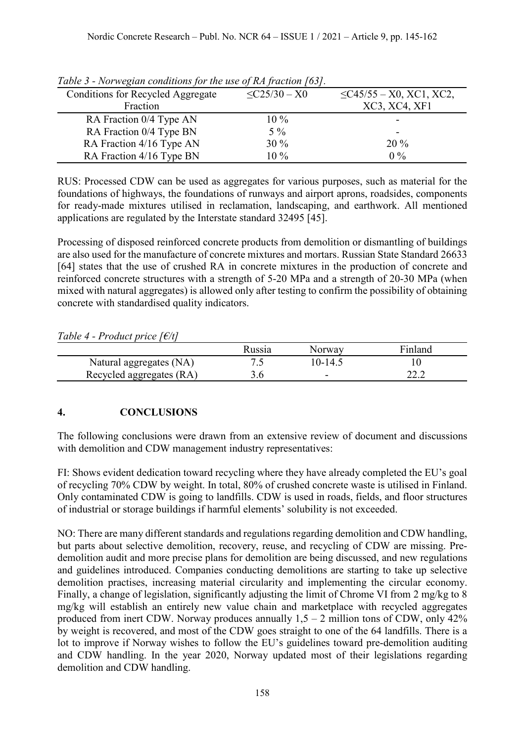| Table 5 - Nor wegian conditions for the use of IM fraction [05]. |                    |                               |
|------------------------------------------------------------------|--------------------|-------------------------------|
| <b>Conditions for Recycled Aggregate</b>                         | $\leq$ C25/30 – X0 | $\leq$ C45/55 – X0, XC1, XC2, |
| Fraction                                                         |                    | XC3, XC4, XF1                 |
| RA Fraction 0/4 Type AN                                          | $10\%$             |                               |
| RA Fraction 0/4 Type BN                                          | $5\%$              |                               |
| RA Fraction 4/16 Type AN                                         | $30\%$             | $20\%$                        |
| RA Fraction 4/16 Type BN                                         | $10\%$             | $0\%$                         |

*Table 3 - Norwegian conditions for the use of RA fraction [63].*

RUS: Processed CDW can be used as aggregates for various purposes, such as material for the foundations of highways, the foundations of runways and airport aprons, roadsides, components for ready-made mixtures utilised in reclamation, landscaping, and earthwork. All mentioned applications are regulated by the Interstate standard 32495 [45].

Processing of disposed reinforced concrete products from demolition or dismantling of buildings are also used for the manufacture of concrete mixtures and mortars. Russian State Standard 26633 [64] states that the use of crushed RA in concrete mixtures in the production of concrete and reinforced concrete structures with a strength of 5-20 MPa and a strength of 20-30 MPa (when mixed with natural aggregates) is allowed only after testing to confirm the possibility of obtaining concrete with standardised quality indicators.

*Table 4 - Product price [€/t]*

|                          | Russia | Norway  | Finland |
|--------------------------|--------|---------|---------|
| Natural aggregates (NA)  |        | 10-14.5 |         |
| Recycled aggregates (RA) |        | -       | 44.L    |

# **4. CONCLUSIONS**

The following conclusions were drawn from an extensive review of document and discussions with demolition and CDW management industry representatives:

FI: Shows evident dedication toward recycling where they have already completed the EU's goal of recycling 70% CDW by weight. In total, 80% of crushed concrete waste is utilised in Finland. Only contaminated CDW is going to landfills. CDW is used in roads, fields, and floor structures of industrial or storage buildings if harmful elements' solubility is not exceeded.

NO: There are many different standards and regulations regarding demolition and CDW handling, but parts about selective demolition, recovery, reuse, and recycling of CDW are missing. Predemolition audit and more precise plans for demolition are being discussed, and new regulations and guidelines introduced. Companies conducting demolitions are starting to take up selective demolition practises, increasing material circularity and implementing the circular economy. Finally, a change of legislation, significantly adjusting the limit of Chrome VI from 2 mg/kg to 8 mg/kg will establish an entirely new value chain and marketplace with recycled aggregates produced from inert CDW. Norway produces annually  $1,5 - 2$  million tons of CDW, only  $42\%$ by weight is recovered, and most of the CDW goes straight to one of the 64 landfills. There is a lot to improve if Norway wishes to follow the EU's guidelines toward pre-demolition auditing and CDW handling. In the year 2020, Norway updated most of their legislations regarding demolition and CDW handling.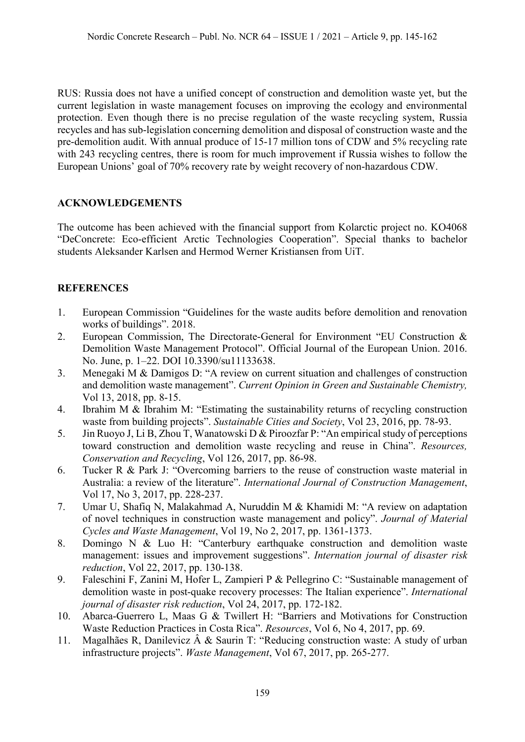RUS: Russia does not have a unified concept of construction and demolition waste yet, but the current legislation in waste management focuses on improving the ecology and environmental protection. Even though there is no precise regulation of the waste recycling system, Russia recycles and has sub-legislation concerning demolition and disposal of construction waste and the pre-demolition audit. With annual produce of 15-17 million tons of CDW and 5% recycling rate with 243 recycling centres, there is room for much improvement if Russia wishes to follow the European Unions' goal of 70% recovery rate by weight recovery of non-hazardous CDW.

# **ACKNOWLEDGEMENTS**

The outcome has been achieved with the financial support from Kolarctic project no. KO4068 "DeConcrete: Eco-efficient Arctic Technologies Cooperation". Special thanks to bachelor students Aleksander Karlsen and Hermod Werner Kristiansen from UiT.

# **REFERENCES**

- 1. European Commission "Guidelines for the waste audits before demolition and renovation works of buildings". 2018.
- 2. European Commission, The Directorate-General for Environment "EU Construction & Demolition Waste Management Protocol". Official Journal of the European Union. 2016. No. June, p. 1–22. DOI 10.3390/su11133638.
- 3. Menegaki M & Damigos D: "A review on current situation and challenges of construction and demolition waste management". *Current Opinion in Green and Sustainable Chemistry,* Vol 13, 2018, pp. 8-15.
- 4. Ibrahim M & Ibrahim M: "Estimating the sustainability returns of recycling construction waste from building projects". *Sustainable Cities and Society*, Vol 23, 2016, pp. 78-93.
- 5. Jin Ruoyo J, Li B, Zhou T, Wanatowski D & Piroozfar P: "An empirical study of perceptions toward construction and demolition waste recycling and reuse in China". *Resources, Conservation and Recycling*, Vol 126, 2017, pp. 86-98.
- 6. Tucker R & Park J: "Overcoming barriers to the reuse of construction waste material in Australia: a review of the literature". *International Journal of Construction Management*, Vol 17, No 3, 2017, pp. 228-237.
- 7. Umar U, Shafiq N, Malakahmad A, Nuruddin M & Khamidi M: "A review on adaptation of novel techniques in construction waste management and policy". *Journal of Material Cycles and Waste Management*, Vol 19, No 2, 2017, pp. 1361-1373.
- 8. Domingo N & Luo H: "Canterbury earthquake construction and demolition waste management: issues and improvement suggestions". *Internation journal of disaster risk reduction*, Vol 22, 2017, pp. 130-138.
- 9. Faleschini F, Zanini M, Hofer L, Zampieri P & Pellegrino C: "Sustainable management of demolition waste in post-quake recovery processes: The Italian experience". *International journal of disaster risk reduction*, Vol 24, 2017, pp. 172-182.
- 10. Abarca-Guerrero L, Maas G & Twillert H: "Barriers and Motivations for Construction Waste Reduction Practices in Costa Rica". *Resources*, Vol 6, No 4, 2017, pp. 69.
- 11. Magalhães R, Danilevicz  $\hat{A}$  & Saurin T: "Reducing construction waste: A study of urban infrastructure projects". *Waste Management*, Vol 67, 2017, pp. 265-277.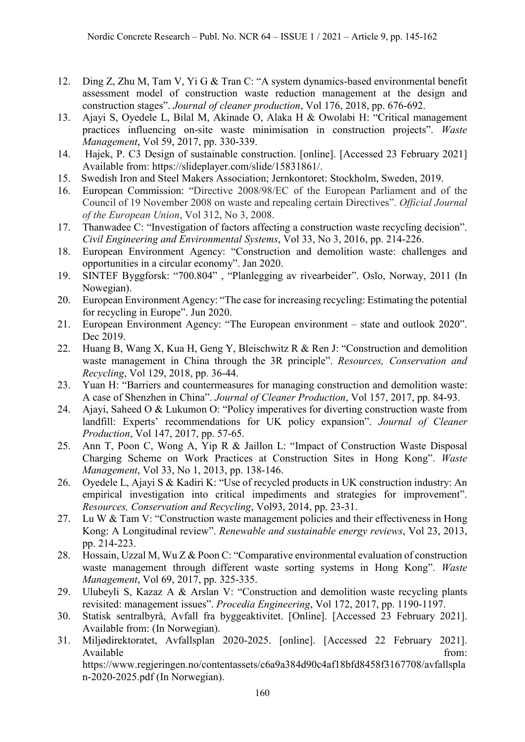- 12. Ding Z, Zhu M, Tam V, Yi G & Tran C: "A system dynamics-based environmental benefit assessment model of construction waste reduction management at the design and construction stages". *Journal of cleaner production*, Vol 176, 2018, pp. 676-692.
- 13. Ajayi S, Oyedele L, Bilal M, Akinade O, Alaka H & Owolabi H: "Critical management practices influencing on-site waste minimisation in construction projects". *Waste Management*, Vol 59, 2017, pp. 330-339.
- 14. Hajek, P. C3 Design of sustainable construction. [online]. [Accessed 23 February 2021] Available from: https://slideplayer.com/slide/15831861/.
- 15. Swedish Iron and Steel Makers Association; Jernkontoret: Stockholm, Sweden, 2019.
- 16. European Commission: "Directive 2008/98/EC of the European Parliament and of the Council of 19 November 2008 on waste and repealing certain Directives". *Official Journal of the European Union*, Vol 312, No 3, 2008.
- 17. Thanwadee C: "Investigation of factors affecting a construction waste recycling decision". *Civil Engineering and Environmental Systems*, Vol 33, No 3, 2016, pp. 214-226.
- 18. European Environment Agency: "Construction and demolition waste: challenges and opportunities in a circular economy". Jan 2020.
- 19. SINTEF Byggforsk: "700.804" , "Planlegging av rivearbeider". Oslo, Norway, 2011 (In Nowegian).
- 20. European Environment Agency: "The case for increasing recycling: Estimating the potential for recycling in Europe". Jun 2020.
- 21. European Environment Agency: "The European environment state and outlook 2020". Dec 2019.
- 22. Huang B, Wang X, Kua H, Geng Y, Bleischwitz R & Ren J: "Construction and demolition waste management in China through the 3R principle". *Resources, Conservation and Recycling*, Vol 129, 2018, pp. 36-44.
- 23. Yuan H: "Barriers and countermeasures for managing construction and demolition waste: A case of Shenzhen in China". *Journal of Cleaner Production*, Vol 157, 2017, pp. 84-93.
- 24. Ajayi, Saheed O & Lukumon O: "Policy imperatives for diverting construction waste from landfill: Experts' recommendations for UK policy expansion". *Journal of Cleaner Production*, Vol 147, 2017, pp. 57-65.
- 25. Ann T, Poon C, Wong A, Yip R & Jaillon L: "Impact of Construction Waste Disposal Charging Scheme on Work Practices at Construction Sites in Hong Kong". *Waste Management*, Vol 33, No 1, 2013, pp. 138-146.
- 26. Oyedele L, Ajayi S & Kadiri K: "Use of recycled products in UK construction industry: An empirical investigation into critical impediments and strategies for improvement". *Resources, Conservation and Recycling*, Vol93, 2014, pp. 23-31.
- 27. Lu W & Tam V: "Construction waste management policies and their effectiveness in Hong Kong: A Longitudinal review". *Renewable and sustainable energy reviews*, Vol 23, 2013, pp. 214-223.
- 28. Hossain, Uzzal M, Wu Z & Poon C: "Comparative environmental evaluation of construction waste management through different waste sorting systems in Hong Kong". *Waste Management*, Vol 69, 2017, pp. 325-335.
- 29. Ulubeyli S, Kazaz A & Arslan V: "Construction and demolition waste recycling plants revisited: management issues". *Procedia Engineering*, Vol 172, 2017, pp. 1190-1197.
- 30. Statisk sentralbyrå, Avfall fra byggeaktivitet. [Online]. [Accessed 23 February 2021]. Available from: (In Norwegian).
- 31. Miljødirektoratet, Avfallsplan 2020-2025. [online]. [Accessed 22 February 2021]. Available from: https://www.regjeringen.no/contentassets/c6a9a384d90c4af18bfd8458f3167708/avfallspla

n-2020-2025.pdf (In Norwegian).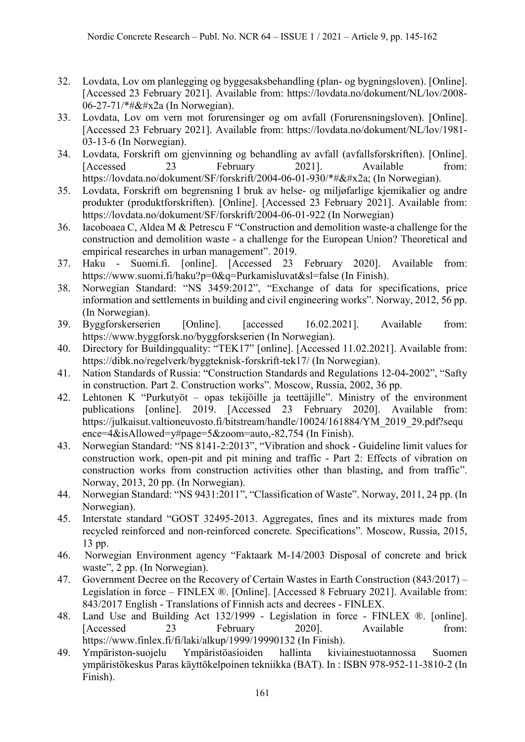- 32. Lovdata, Lov om planlegging og byggesaksbehandling (plan- og bygningsloven). [Online]. [Accessed 23 February 2021]. Available from: https://lovdata.no/dokument/NL/lov/2008- 06-27-71/\*#&#x2a (In Norwegian).
- 33. Lovdata, Lov om vern mot forurensinger og om avfall (Forurensningsloven). [Online]. [Accessed 23 February 2021]. Available from: https://lovdata.no/dokument/NL/lov/1981- 03-13-6 (In Norwegian).
- 34. Lovdata, Forskrift om gjenvinning og behandling av avfall (avfallsforskriften). [Online]. [Accessed 23 February 2021]. Available from: https://lovdata.no/dokument/SF/forskrift/2004-06-01-930/\*#\* (In Norwegian).
- 35. Lovdata, Forskrift om begrensning I bruk av helse- og miljøfarlige kjemikalier og andre produkter (produktforskriften). [Online]. [Accessed 23 February 2021]. Available from: https://lovdata.no/dokument/SF/forskrift/2004-06-01-922 (In Norwegian)
- 36. Iacoboaea C, Aldea M & Petrescu F "Construction and demolition waste-a challenge for the construction and demolition waste - a challenge for the European Union? Theoretical and empirical researches in urban management". 2019.
- 37. Haku Suomi.fi. [online]. [Accessed 23 February 2020]. Available from: https://www.suomi.fi/haku?p=0&q=Purkamisluvat&sl=false (In Finish).
- 38. Norwegian Standard: "NS 3459:2012", "Exchange of data for specifications, price information and settlements in building and civil engineering works". Norway, 2012, 56 pp. (In Norwegian).
- 39. Byggforskerserien [Online]. [accessed 16.02.2021]. Available from: https://www.byggforsk.no/byggforskserien (In Norwegian).
- 40. Directory for Buildingquality: "TEK17" [online]. [Accessed 11.02.2021]. Available from: https://dibk.no/regelverk/byggteknisk-forskrift-tek17/ (In Norwegian).
- 41. Nation Standards of Russia: "Construction Standards and Regulations 12-04-2002", "Safty in construction. Part 2. Construction works". Moscow, Russia, 2002, 36 pp.
- 42. Lehtonen K "Purkutyöt opas tekijöille ja teettäjille". Ministry of the environment publications [online]. 2019. [Accessed 23 February 2020]. Available from: https://julkaisut.valtioneuvosto.fi/bitstream/handle/10024/161884/YM\_2019\_29.pdf?sequ ence=4&isAllowed=y#page=5&zoom=auto,-82,754 (In Finish).
- 43. Norwegian Standard: "NS 8141-2:2013", "Vibration and shock Guideline limit values for construction work, open-pit and pit mining and traffic - Part 2: Effects of vibration on construction works from construction activities other than blasting, and from traffic". Norway, 2013, 20 pp. (In Norwegian).
- 44. Norwegian Standard: "NS 9431:2011", "Classification of Waste". Norway, 2011, 24 pp. (In Norwegian).
- 45. Interstate standard "GOST 32495-2013. Aggregates, fines and its mixtures made from recycled reinforced and non-reinforced concrete. Specifications". Moscow, Russia, 2015, 13 pp.
- 46. Norwegian Environment agency "Faktaark M-14/2003 Disposal of concrete and brick waste", 2 pp. (In Norwegian).
- 47. Government Decree on the Recovery of Certain Wastes in Earth Construction (843/2017) Legislation in force – FINLEX ®. [Online]. [Accessed 8 February 2021]. Available from: 843/2017 English - Translations of Finnish acts and decrees - FINLEX.
- 48. Land Use and Building Act 132/1999 Legislation in force FINLEX ®. [online]. [Accessed 23 February 2020]. Available from: https://www.finlex.fi/fi/laki/alkup/1999/19990132 (In Finish).
- 49. Ympäriston-suojelu Ympäristöasioiden hallinta kiviainestuotannossa Suomen ympäristökeskus Paras käyttökelpoinen tekniikka (BAT). In : ISBN 978-952-11-3810-2 (In Finish).